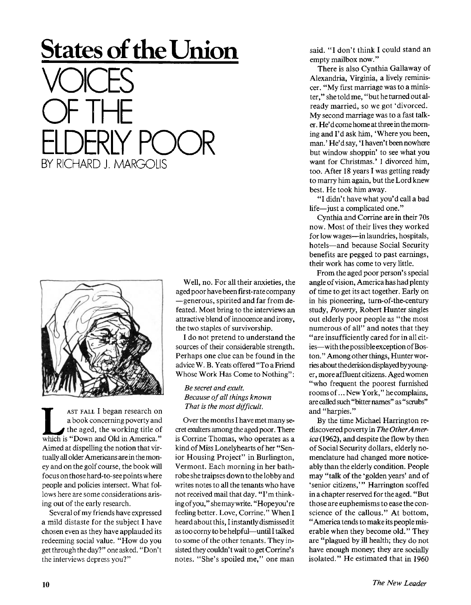## **States of the Union VOICES** OF THE ELDERLY POOR BY RICHARD J. MARGOLIS



**LEVALUATE:** I began research on a book concerning poverty and the aged, the working title of which is "Down and Old in America." AST FALL I began research on a book concerning poverty and the aged, the working title of Aimed at dispelling the notion that virtually all older Americans are in the money and on the golf course, the book will focus on those hard-to-see points where people and policies intersect. What follows here are some considerations arising out of the early research.

Several of my friends have expressed a mild distaste for the subject I have chosen even as they have applauded its redeeming social value. "How do you get through the day?" oneasked. "Don't the interviews depress you?"

Well, no. For all their anxieties, the aged poor have been first-rate company —generous, spirited and far from defeated. Most bring to the interviews an attractive blend of innocence and irony, the two staples of survivorship.

I do not pretend to understand the sources of their considerable strength. Perhaps one clue can be found in the advice W. B. Yeats offered "To a Friend Whose Work Has Come to Nothing":

## *Be secret and exult. Because of all things known That is the most difficult.*

Over the months I have met many secret exulters among the aged poor. There is Corrine Thomas, who operates as a kind of Miss Lonelyhearts of her "Senior Housing Project" in Burlington, Vermont. Each morning in her bathrobe she traipses down to the lobby and writes notes to all the tenants who have not received mail that day. "I'm thinking ofyou," shemay write. "Hopeyou're feeling better. Love, Corrine." When I heard about this, I instantly dismissed it as too corny to be helpful—until I talked to some of the other tenants. They insisted they couldn't wait to get Corrine's notes. "She's spoiled me," one man said. "I don't think I could stand an empty mailbox now."

There is also Cynthia Gallaway of Alexandria, Virginia, a lively reminiscer. "My first marriage was to a minister," she told me, "but he turned out already married, so we got 'divorced. My second marriage was to a fast talker. He' d come home at three in the morning and I'd ask him, 'Where you been, man.' He'dsay, 'I haven't been nowhere but window shoppin' to see what you want for Christmas.' I divorced him, too. After 18 years I was getting ready to marry him again, but the Lord knew best. He took him away.

"I didn't have what you'd call a bad life—just a complicated one."

Cynthia and Corrine are in their 70s now. Most of their lives they worked for low wages—in laundries, hospitals, hotels—and because Social Security benefits are pegged to past earnings, their work has come to very little.

From the aged poor person's special angle of vision, America has had plenty of time to get its act together. Early on in his pioneering, turn-of-the-century study, *Poverty*, Robert Hunter singles out elderly poor people as "the most numerous of all" and notes that they "are insufficiently cared for in all cities—with the possible exception of Boston." Among other things, Hunter worries about the derision displayed by younger, more affluent citizens. Aged women "who frequent the poorest furnished roomsof... New York," hecomplains, are called such "bitter names" as " scrubs" and "harpies."

By the time Michael Harrington rediscovered poverty in *The Other A merica(*1962), and despite the flow by then of Social Security dollars, elderly nomenclature had changed more noticeably than the elderly condition. People may "talk of the 'golden years' and of 'senior citizens,'" Harrington scoffed in a chapter reserved for the aged. "But those are euphemisms to ease the conscience of the callous." At bottom, '' America tends to make its people miserable when they become old." They are "plagued by ill health; they do not have enough money; they are socially isolated." He estimated that in 1960